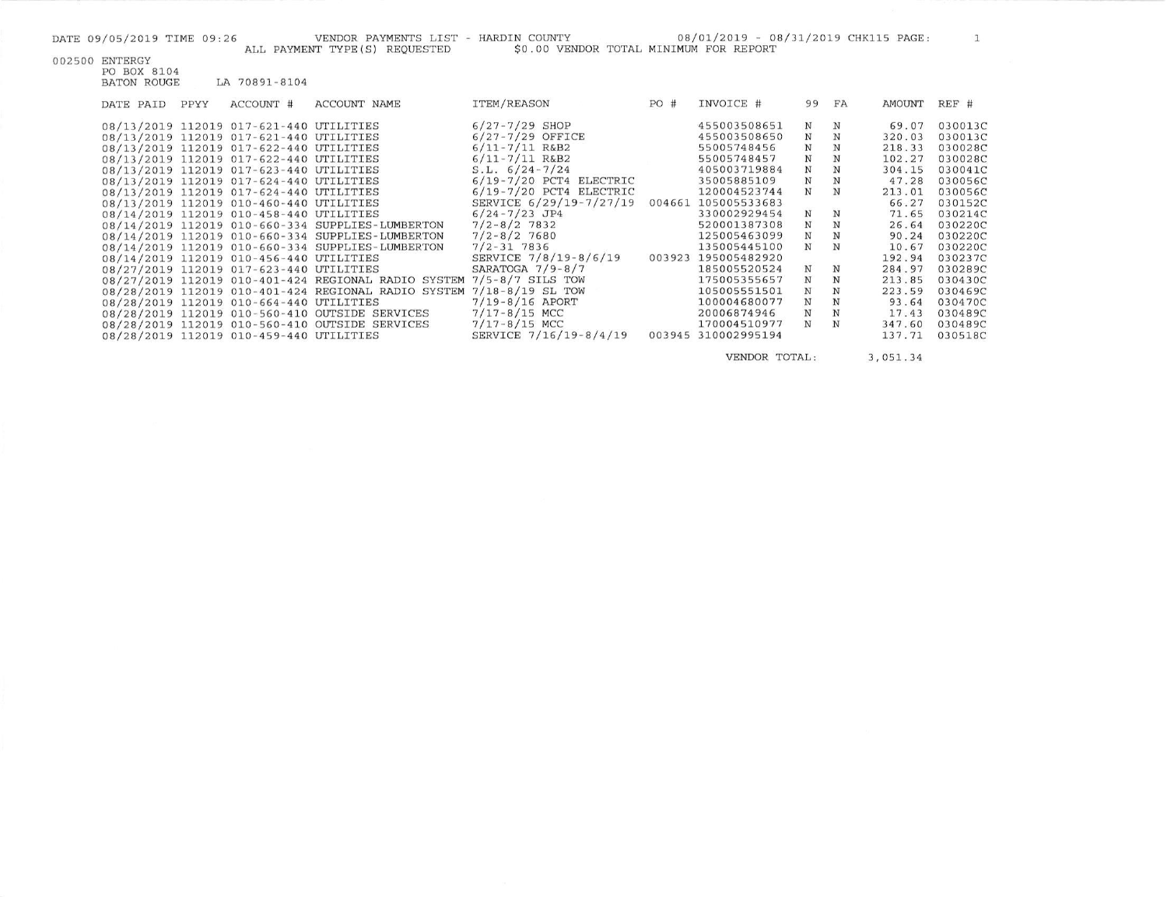DATE 09/05/2019 TIME 09:26 VENDOR PAYMENTS LIST - HARDIN COUNTY 08/01/2019 - 08/31/2019 CHK115 PAGE: 1 ALL PAYMENT TYPE (S) REQUESTED 50.00 VENDOR TOTAL MINIMUM FOR REPORT 002500 ENTERGY PO BOX 8104 **BATON ROUGE** LA 70891-8104 DATE PAID PPYY ACCOUNT # ACCOUNT NAME **ITEM/REASON** PO # INVOICE # 99 FA AMOUNT REF #

|  | 08/13/2019 112019 017-621-440 UTILITIES |                                                                      | $6/27 - 7/29$ SHOP          |        | 455003508651 | $_{\rm N}$  | N          | 69.07  | 030013C |
|--|-----------------------------------------|----------------------------------------------------------------------|-----------------------------|--------|--------------|-------------|------------|--------|---------|
|  | 08/13/2019 112019 017-621-440 UTILITIES |                                                                      | $6/27 - 7/29$ OFFICE        |        | 455003508650 | $_{\rm N}$  | N          | 320.03 | 030013C |
|  | 08/13/2019 112019 017-622-440 UTILITIES |                                                                      | $6/11 - 7/11$ R&B2          |        | 55005748456  | N           | N          | 218.33 | 030028C |
|  | 08/13/2019 112019 017-622-440 UTILITIES |                                                                      | $6/11 - 7/11$ R&B2          |        | 55005748457  | N           | N          | 102.27 | 030028C |
|  | 08/13/2019 112019 017-623-440 UTILITIES |                                                                      | $S.L. 6/24-7/24$            |        | 405003719884 | $_{\rm N}$  | N          | 304.15 | 030041C |
|  | 08/13/2019 112019 017-624-440 UTILITIES |                                                                      | $6/19 - 7/20$ PCT4 ELECTRIC |        | 35005885109  | $\mathbf N$ | N          | 47.28  | 030056C |
|  | 08/13/2019 112019 017-624-440 UTILITIES |                                                                      | $6/19 - 7/20$ PCT4 ELECTRIC |        | 120004523744 | N           | N          | 213.01 | 030056C |
|  | 08/13/2019 112019 010-460-440 UTILITIES |                                                                      | SERVICE 6/29/19-7/27/19     | 004661 | 105005533683 |             |            | 66.27  | 030152C |
|  | 08/14/2019 112019 010-458-440 UTILITIES |                                                                      | $6/24 - 7/23$ JP4           |        | 330002929454 | $_{\rm N}$  | $_{\rm N}$ | 71.65  | 030214C |
|  |                                         | 08/14/2019 112019 010-660-334 SUPPLIES-LUMBERTON                     | $7/2 - 8/2$ 7832            |        | 520001387308 | N           | N          | 26.64  | 030220C |
|  |                                         | 08/14/2019 112019 010-660-334 SUPPLIES-LUMBERTON                     | $7/2 - 8/2$ 7680            |        | 125005463099 | N           | N          | 90.24  | 030220C |
|  |                                         | 08/14/2019 112019 010-660-334 SUPPLIES-LUMBERTON                     | $7/2 - 31$ 7836             |        | 135005445100 | $_{\rm N}$  | N          | 10.67  | 030220C |
|  | 08/14/2019 112019 010-456-440 UTILITIES |                                                                      | SERVICE 7/8/19-8/6/19       | 003923 | 195005482920 |             |            | 192.94 | 030237C |
|  | 08/27/2019 112019 017-623-440 UTILITIES |                                                                      | SARATOGA $7/9 - 8/7$        |        | 185005520524 | N           | N          | 284.97 | 030289C |
|  |                                         | 08/27/2019 112019 010-401-424 REGIONAL RADIO SYSTEM 7/5-8/7 SILS TOW |                             |        | 175005355657 | N           | N          | 213.85 | 030430C |
|  |                                         | 08/28/2019 112019 010-401-424 REGIONAL RADIO SYSTEM                  | $7/18 - 8/19$ SL TOW        |        | 105005551501 | N           |            | 223.59 | 030469C |
|  | 08/28/2019 112019 010-664-440 UTILITIES |                                                                      | $7/19 - 8/16$ APORT         |        | 100004680077 | N           |            | 93.64  | 030470C |
|  |                                         | 08/28/2019 112019 010-560-410 OUTSIDE SERVICES                       | $7/17 - 8/15$ MCC           |        | 20006874946  | $_{\rm N}$  | N          | 17.43  | 030489C |
|  |                                         | 08/28/2019 112019 010-560-410 OUTSIDE SERVICES                       | $7/17 - 8/15$ MCC           |        | 170004510977 | N           | N          | 347.60 | 030489C |
|  | 08/28/2019 112019 010-459-440 UTILITIES |                                                                      | SERVICE 7/16/19-8/4/19      | 003945 | 310002995194 |             |            | 137.71 | 030518C |
|  |                                         |                                                                      |                             |        |              |             |            |        |         |

VENDOR TOTAL: 3,051.34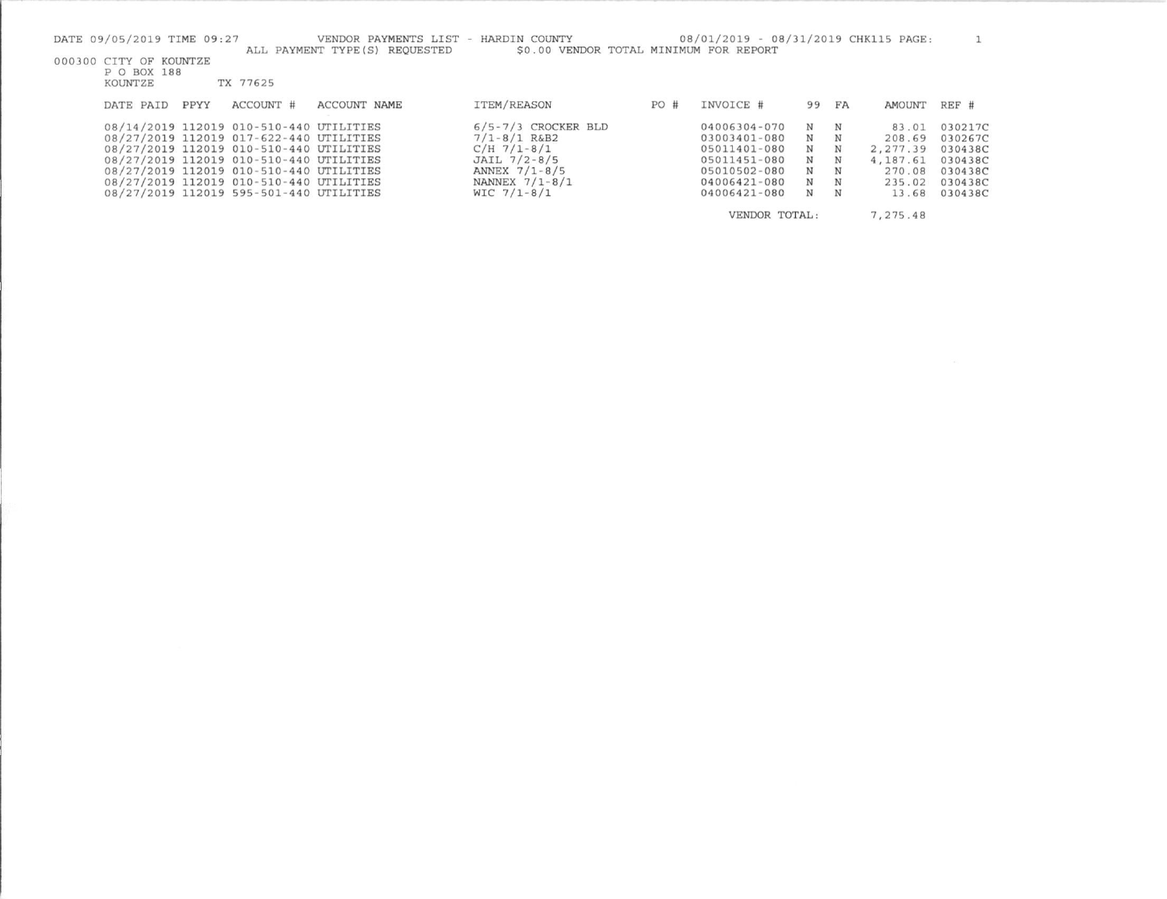| DATE 09/05/2019 TIME 09:27<br>VENDOR PAYMENTS LIST<br>ALL PAYMENT TYPE (S) REOUESTED                                                                                                                                                                                                                      | - HARDIN COUNTY                                                                                                                      |     | 08/01/2019 - 08/31/2019 CHK115 PAGE:                                                                         |                                          |                                 |                                                                      |                                                                           |  |  |
|-----------------------------------------------------------------------------------------------------------------------------------------------------------------------------------------------------------------------------------------------------------------------------------------------------------|--------------------------------------------------------------------------------------------------------------------------------------|-----|--------------------------------------------------------------------------------------------------------------|------------------------------------------|---------------------------------|----------------------------------------------------------------------|---------------------------------------------------------------------------|--|--|
| \$0.00 VENDOR TOTAL MINIMUM FOR REPORT<br>000300 CITY OF KOUNTZE<br>P O BOX 188<br>TX 77625<br>KOUNTZE                                                                                                                                                                                                    |                                                                                                                                      |     |                                                                                                              |                                          |                                 |                                                                      |                                                                           |  |  |
| ACCOUNT #<br>ACCOUNT NAME<br>PPYY<br>DATE PAID                                                                                                                                                                                                                                                            | ITEM/REASON                                                                                                                          | PO# | INVOICE #                                                                                                    | 99                                       | FA                              | AMOUNT                                                               | REF #                                                                     |  |  |
| 08/14/2019 112019 010-510-440 UTILITIES<br>08/27/2019 112019 017-622-440 UTILITIES<br>08/27/2019 112019 010-510-440 UTILITIES<br>08/27/2019 112019 010-510-440 UTILITIES<br>08/27/2019 112019 010-510-440 UTILITIES<br>08/27/2019 112019 010-510-440 UTILITIES<br>08/27/2019 112019 595-501-440 UTILITIES | $6/5 - 7/3$ CROCKER BLD<br>$7/1 - 8/1$ R&B2<br>$C/H$ 7/1-8/1<br>JAIL 7/2-8/5<br>ANNEX 7/1-8/5<br>NANNEX $7/1 - 8/1$<br>$WIC$ 7/1-8/1 |     | 04006304-070<br>03003401-080<br>05011401-080<br>05011451-080<br>05010502-080<br>04006421-080<br>04006421-080 | N<br>N<br>N<br>N<br>N<br>$_{\rm N}$<br>N | N<br>N<br>N<br>N<br>N<br>N<br>N | 83.01<br>208.69<br>2.277.39<br>4,187.61<br>270.08<br>235.02<br>13.68 | 030217C<br>030267C<br>030438C<br>030438C<br>030438C<br>030438C<br>030438C |  |  |
|                                                                                                                                                                                                                                                                                                           |                                                                                                                                      |     | VENDOR TOTAL:                                                                                                |                                          |                                 | 7,275.48                                                             |                                                                           |  |  |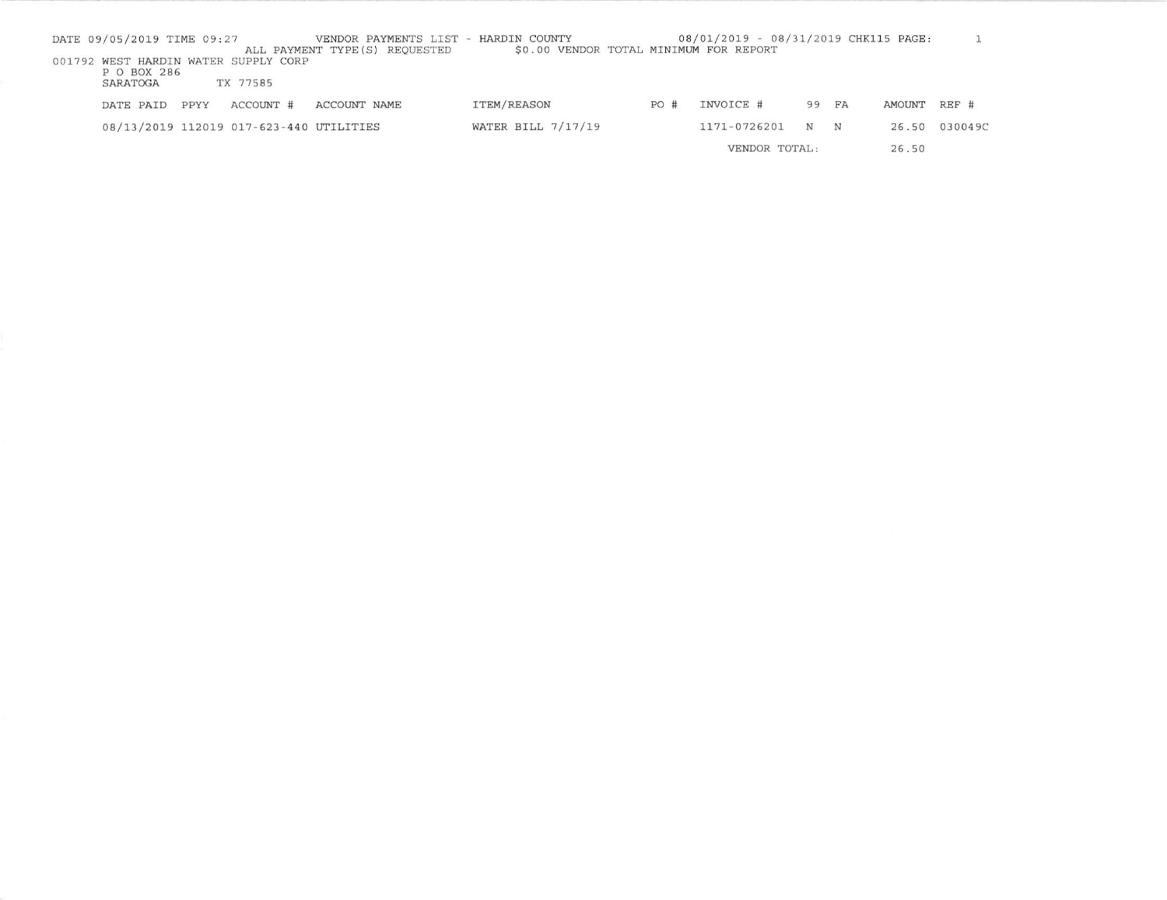| DATE 09/05/2019 TIME 09:27 |      |                                         | VENDOR PAYMENTS LIST - HARDIN COUNTY<br>ALL PAYMENT TYPE (S) REQUESTED | \$0.00 VENDOR TOTAL MINIMUM FOR REPORT |     | 08/01/2019 - 08/31/2019 CHK115 PAGE: |       |   |        |               |
|----------------------------|------|-----------------------------------------|------------------------------------------------------------------------|----------------------------------------|-----|--------------------------------------|-------|---|--------|---------------|
|                            |      | 001792 WEST HARDIN WATER SUPPLY CORP    |                                                                        |                                        |     |                                      |       |   |        |               |
| P O BOX 286<br>SARATOGA    |      | TX 77585                                |                                                                        |                                        |     |                                      |       |   |        |               |
| DATE PAID                  | PPYY | ACCOUNT #                               | ACCOUNT NAME                                                           | ITEM/REASON                            | PO# | INVOICE #                            | 99 FA |   | AMOUNT | REF #         |
|                            |      |                                         |                                                                        |                                        |     |                                      |       |   |        |               |
|                            |      | 08/13/2019 112019 017-623-440 UTILITIES |                                                                        | WATER BILL $7/17/19$                   |     | 1171-0726201                         | N     | N |        | 26.50 030049C |
|                            |      |                                         |                                                                        |                                        |     | VENDOR TOTAL:                        |       |   | 26.50  |               |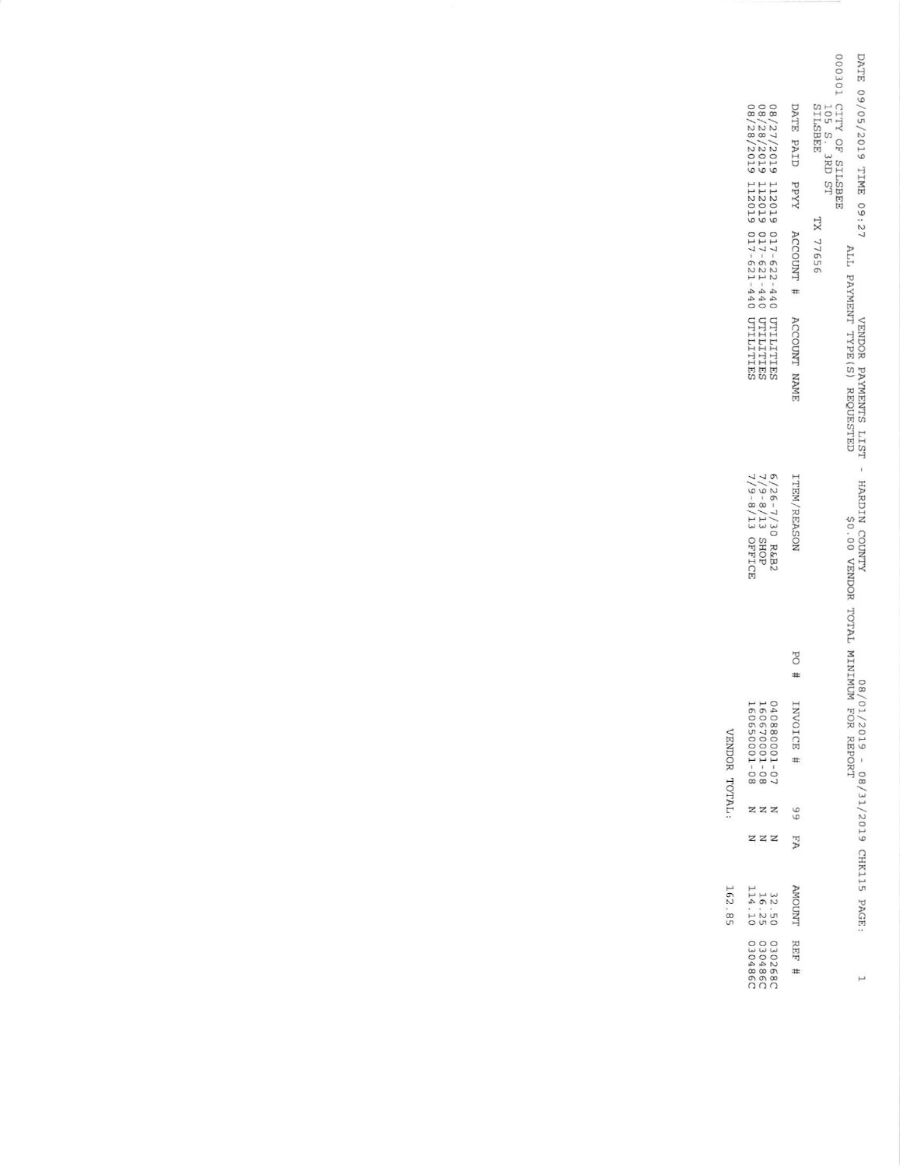|                                                                                                                               |                                       | OOSOI CITY OF SILSBEE<br>DATE 09/05/2019 TIME 09:27<br><b>SILSBEE</b><br>105 S. 3RD ST |
|-------------------------------------------------------------------------------------------------------------------------------|---------------------------------------|----------------------------------------------------------------------------------------|
|                                                                                                                               |                                       |                                                                                        |
|                                                                                                                               |                                       | <b>TX 77656</b>                                                                        |
| 08/27/2019 112019 017-622-440 UTILITIES<br>28/28/2019 112019 017-621-440 UTILITIES<br>08/28/2019 112019 017-621-440 UTILITIES | DATE PAID PPYY ACCOUNT # ACCOUNT NAME | ALL PAYMENT TYPE (S) REQUESTED<br>VENDOR PAYMENTS LIST - HARDIN COUNTY                 |
| 6/26-7/30 R&B2<br>7/9-8/13 SHOP<br>7/9-8/13 SHOP                                                                              | <b>ITEM/REASON</b>                    | MUMININ TULY LOTER MININUM                                                             |
|                                                                                                                               |                                       |                                                                                        |
|                                                                                                                               | # Od                                  | /80                                                                                    |
| 040880001-07<br>160670001-08<br>160650001-08                                                                                  |                                       | 01/2019 - 08/31/2019 CHK115 PAGE<br>FOR REPORT                                         |
|                                                                                                                               | 66                                    |                                                                                        |
|                                                                                                                               | AH                                    |                                                                                        |
| 32.50<br>16.25<br>114.10                                                                                                      | <b>TWOOMA</b>                         |                                                                                        |
| 030486C<br>030486C<br>0302680                                                                                                 | REF                                   | $\mapsto$                                                                              |

VENDOR TOTAL:

162.85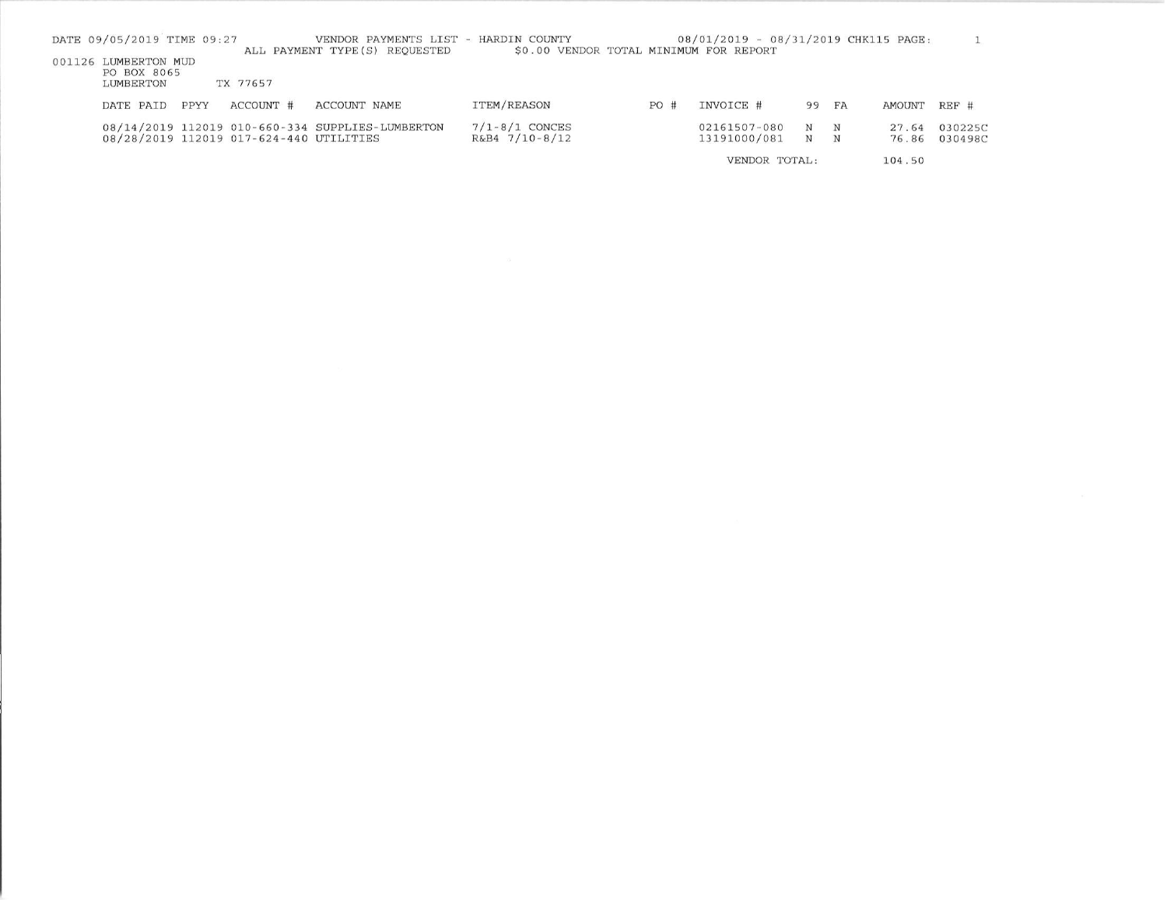| DATE 09/05/2019 TIME 09:27                       |      |                                         | VENDOR PAYMENTS LIST - HARDIN COUNTY<br>ALL PAYMENT TYPE (S) REOUESTED | \$0.00 VENDOR TOTAL MINIMUM FOR REPORT |     | 08/01/2019 - 08/31/2019 CHK115 PAGE: |        |        |                |                    |
|--------------------------------------------------|------|-----------------------------------------|------------------------------------------------------------------------|----------------------------------------|-----|--------------------------------------|--------|--------|----------------|--------------------|
| 001126 LUMBERTON MUD<br>PO BOX 8065<br>LUMBERTON |      | TX 77657                                |                                                                        |                                        |     |                                      |        |        |                |                    |
| DATE PAID                                        | PPYY | ACCOUNT #                               | ACCOUNT NAME                                                           | ITEM/REASON                            | PO# | INVOICE #                            | 99     | FA     | AMOUNT         | $REF$ #            |
|                                                  |      | 08/28/2019 112019 017-624-440 UTILITIES | 08/14/2019 112019 010-660-334 SUPPLIES-LUMBERTON                       | $7/1 - 8/1$ CONCES<br>R&B4 7/10-8/12   |     | 02161507-080<br>13191000/081         | N<br>N | N<br>N | 27.64<br>76.86 | 030225C<br>030498C |
|                                                  |      |                                         |                                                                        |                                        |     | VENDOR TOTAL:                        |        |        | 104.50         |                    |